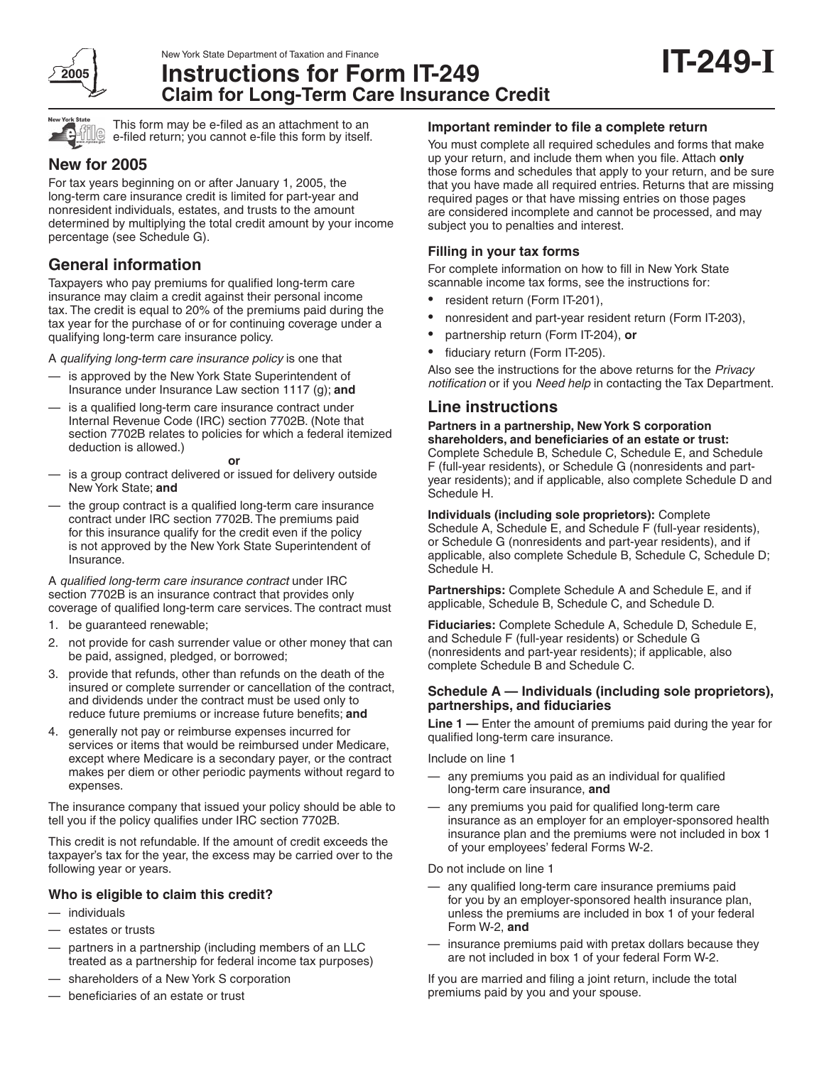

New York State Department of Taxation and Finance

# **Instructions for Form IT-249 Claim for Long-Term Care Insurance Credit**



This form may be e-filed as an attachment to an e-filed return; you cannot e-file this form by itself.

## **New for 2005**

For tax years beginning on or after January 1, 2005, the long-term care insurance credit is limited for part-year and nonresident individuals, estates, and trusts to the amount determined by multiplying the total credit amount by your income percentage (see Schedule G).

## **General information**

Taxpayers who pay premiums for qualified long-term care insurance may claim a credit against their personal income tax. The credit is equal to 20% of the premiums paid during the tax year for the purchase of or for continuing coverage under a qualifying long-term care insurance policy.

A qualifying long-term care insurance policy is one that

- is approved by the New York State Superintendent of Insurance under Insurance Law section 1117 (g); **and**
- is a qualified long-term care insurance contract under Internal Revenue Code (IRC) section 7702B. (Note that section 7702B relates to policies for which a federal itemized deduction is allowed.)

#### **or**

- is a group contract delivered or issued for delivery outside New York State; **and**
- the group contract is a qualified long-term care insurance contract under IRC section 7702B. The premiums paid for this insurance qualify for the credit even if the policy is not approved by the New York State Superintendent of Insurance.

A qualified long-term care insurance contract under IRC section 7702B is an insurance contract that provides only coverage of qualified long-term care services. The contract must

- 1. be guaranteed renewable;
- 2. not provide for cash surrender value or other money that can be paid, assigned, pledged, or borrowed;
- provide that refunds, other than refunds on the death of the insured or complete surrender or cancellation of the contract, and dividends under the contract must be used only to reduce future premiums or increase future benefits; **and**
- 4. generally not pay or reimburse expenses incurred for services or items that would be reimbursed under Medicare, except where Medicare is a secondary payer, or the contract makes per diem or other periodic payments without regard to expenses.

The insurance company that issued your policy should be able to tell you if the policy qualifies under IRC section 7702B.

This credit is not refundable. If the amount of credit exceeds the taxpayer's tax for the year, the excess may be carried over to the following year or years.

## **Who is eligible to claim this credit?**

- individuals
- estates or trusts
- partners in a partnership (including members of an LLC treated as a partnership for federal income tax purposes)
- shareholders of a New York S corporation
- beneficiaries of an estate or trust

## **Important reminder to file a complete return**

You must complete all required schedules and forms that make up your return, and include them when you file. Attach **only** those forms and schedules that apply to your return, and be sure that you have made all required entries. Returns that are missing required pages or that have missing entries on those pages are considered incomplete and cannot be processed, and may subject you to penalties and interest.

## **Filling in your tax forms**

For complete information on how to fill in New York State scannable income tax forms, see the instructions for:

- resident return (Form IT-201),
- nonresident and part-year resident return (Form IT-203),
- partnership return (Form IT-204), **or**
- fiduciary return (Form IT-205).

Also see the instructions for the above returns for the Privacy notification or if you Need help in contacting the Tax Department.

## **Line instructions**

## **Partners in a partnership, New York S corporation shareholders, and beneficiaries of an estate or trust:** Complete Schedule B, Schedule C, Schedule E, and Schedule

F (full-year residents), or Schedule G (nonresidents and partyear residents); and if applicable, also complete Schedule D and Schedule H.

**Individuals (including sole proprietors):** Complete Schedule A, Schedule E, and Schedule F (full-year residents), or Schedule G (nonresidents and part-year residents), and if applicable, also complete Schedule B, Schedule C, Schedule D; Schedule H.

**Partnerships:** Complete Schedule A and Schedule E, and if applicable, Schedule B, Schedule C, and Schedule D.

**Fiduciaries:** Complete Schedule A, Schedule D, Schedule E, and Schedule F (full-year residents) or Schedule G (nonresidents and part-year residents); if applicable, also complete Schedule B and Schedule C.

## **Schedule A — Individuals (including sole proprietors), partnerships, and fiduciaries**

**Line 1 —** Enter the amount of premiums paid during the year for qualified long-term care insurance.

Include on line 1

- any premiums you paid as an individual for qualified long-term care insurance, **and**
- any premiums you paid for qualified long-term care insurance as an employer for an employer-sponsored health insurance plan and the premiums were not included in box 1 of your employees' federal Forms W-2.

Do not include on line 1

- any qualified long-term care insurance premiums paid for you by an employer-sponsored health insurance plan, unless the premiums are included in box 1 of your federal Form W-2, **and**
- insurance premiums paid with pretax dollars because they are not included in box 1 of your federal Form W-2.

If you are married and filing a joint return, include the total premiums paid by you and your spouse.